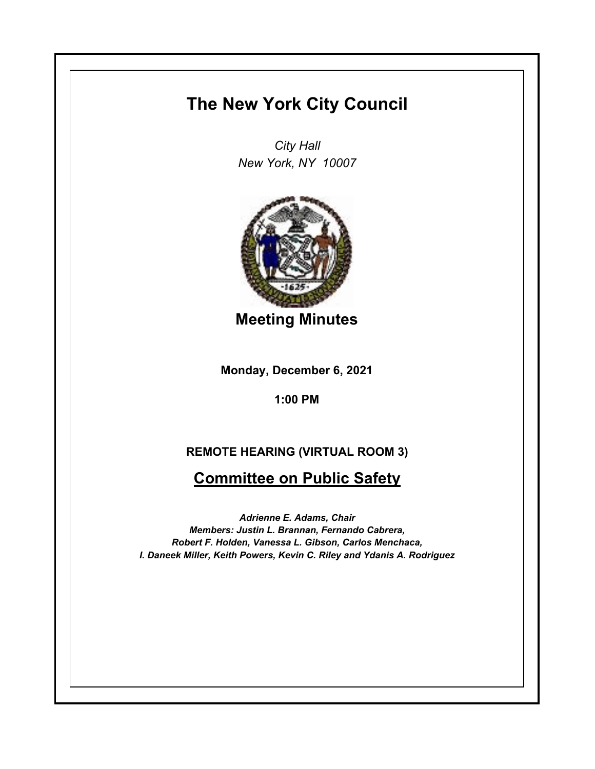## **The New York City Council**

*City Hall New York, NY 10007*



**Meeting Minutes**

**Monday, December 6, 2021**

**1:00 PM**

## **REMOTE HEARING (VIRTUAL ROOM 3)**

**Committee on Public Safety**

*Adrienne E. Adams, Chair Members: Justin L. Brannan, Fernando Cabrera, Robert F. Holden, Vanessa L. Gibson, Carlos Menchaca, I. Daneek Miller, Keith Powers, Kevin C. Riley and Ydanis A. Rodriguez*